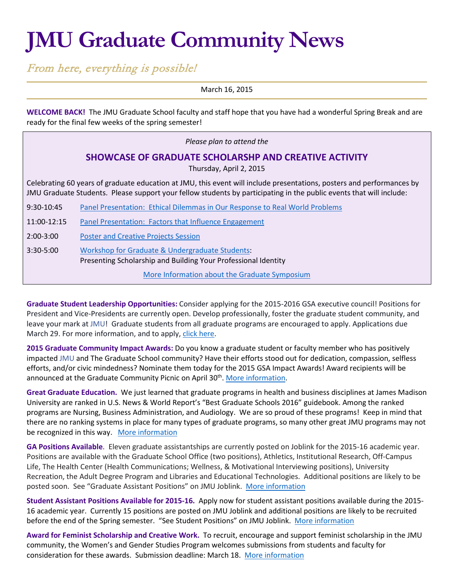# **JMU Graduate Community News**

From here, everything is possible!

### March 16, 2015

**WELCOME BACK!** The JMU Graduate School faculty and staff hope that you have had a wonderful Spring Break and are ready for the final few weeks of the spring semester!

*Please plan to attend the*

## **SHOWCASE OF GRADUATE SCHOLARSHP AND CREATIVE ACTIVITY**

Thursday, April 2, 2015

Celebrating 60 years of graduate education at JMU, this event will include presentations, posters and performances by JMU Graduate Students. Please support your fellow students by participating in the public events that will include:

- 9:30-10:45 [Panel Presentation: Ethical Dilemmas in Our Response to Real World Problems](http://www.jmu.edu/grad/GraduateSymposium/Oral%20Presentation%20Presenters.shtml)
- 11:00-12:15 [Panel Presentation: Factors that Influence Engagement](http://www.jmu.edu/grad/GraduateSymposium/Oral%20Presentation%20Presenters.shtml%23Oral2)
- 2:00-3:00 [Poster and Creative Projects Session](http://www.jmu.edu/grad/GraduateSymposium/Poster%20Session%20Presenters.shtml)

3:30-5:00 [Workshop for Graduate & Undergraduate Students:](http://www.jmu.edu/grad/GraduateSymposium/SGSCA2015%20Workshop.shtml) Presenting Scholarship and Building Your Professional Identity

[More Information about the Graduate Symposium](http://www.jmu.edu/grad/Graduate-Symposium.shtml)

**Graduate Student Leadership Opportunities:** Consider applying for the 2015-2016 GSA executive council! Positions for President and Vice-Presidents are currently open. Develop professionally, foster the graduate student community, and leave your mark at [JMU!](https://www.facebook.com/hashtag/jmu?source=feed_text&story_id=873068436047209) Graduate students from all graduate programs are encouraged to apply. Applications due March 29. For more information, and to apply[, click here.](https://docs.google.com/document/d/1WosBVB95Mk3v-Cd50ELUA94qqbHL1s9jwMPld2eRha0/edit?pli=1)

**2015 Graduate Community Impact Awards:** Do you know a graduate student or faculty member who has positively impacte[d JMU](https://www.facebook.com/hashtag/jmu?source=feed_text&story_id=873068436047209) and The Graduate School community? Have their efforts stood out for dedication, compassion, selfless efforts, and/or civic mindedness? Nominate them today for the 2015 GSA Impact Awards! Award recipients will be announced at the Graduate Community Picnic on April 30<sup>th</sup>[. More information.](https://docs.google.com/forms/d/1ljnvPvKMJIMIgKSgjY67GKhbVVw4dwonQnlb1l3J_PY/viewform)

**Great Graduate Education.** We just learned that graduate programs in health and business disciplines at James Madison University are ranked in U.S. News & World Report's "Best Graduate Schools 2016" guidebook. Among the ranked programs are Nursing, Business Administration, and Audiology. We are so proud of these programs! Keep in mind that there are no ranking systems in place for many types of graduate programs, so many other great JMU programs may not be recognized in this way. [More information](http://www.jmu.edu/news/2015/03/10-great-graduate-education.shtml)

**GA Positions Available**. Eleven graduate assistantships are currently posted on Joblink for the 2015-16 academic year. Positions are available with the Graduate School Office (two positions), Athletics, Institutional Research, Off-Campus Life, The Health Center (Health Communications; Wellness, & Motivational Interviewing positions), University Recreation, the Adult Degree Program and Libraries and Educational Technologies. Additional positions are likely to be posted soon. See "Graduate Assistant Positions" on JMU Joblink. [More information](https://joblink.jmu.edu/)

**Student Assistant Positions Available for 2015-16.** Apply now for student assistant positions available during the 2015- 16 academic year. Currently 15 positions are posted on JMU Joblink and additional positions are likely to be recruited before the end of the Spring semester. "See Student Positions" on JMU Joblink. [More information](https://joblink.jmu.edu/)

**Award for Feminist Scholarship and Creative Work.** To recruit, encourage and support feminist scholarship in the JMU community, the Women's and Gender Studies Program welcomes submissions from students and faculty for consideration for these awards. Submission deadline: March 18. [More information](http://www.jmu.edu/womenstudies/creativework.shtml)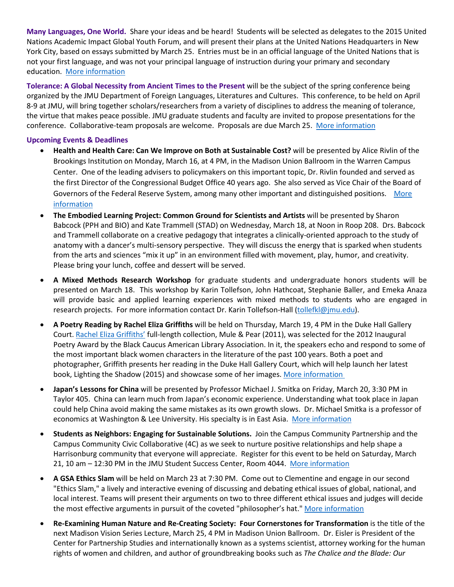**Many Languages, One World.** Share your ideas and be heard! Students will be selected as delegates to the 2015 United Nations Academic Impact Global Youth Forum, and will present their plans at the United Nations Headquarters in New York City, based on essays submitted by March 25. Entries must be in an official language of the United Nations that is not your first language, and was not your principal language of instruction during your primary and secondary education. [More information](http://www.els.edu/en/ManyLanguagesOneWorld)

**Tolerance: A Global Necessity from Ancient Times to the Present** will be the subject of the spring conference being organized by the JMU Department of Foreign Languages, Literatures and Cultures. This conference, to be held on April 8-9 at JMU, will bring together scholars/researchers from a variety of disciplines to address the meaning of tolerance, the virtue that makes peace possible. JMU graduate students and faculty are invited to propose presentations for the conference. Collaborative-team proposals are welcome. Proposals are due March 25. [More information](http://www.jmu.edu/forlang/conferenceFLLC/call.shtml) 

#### **Upcoming Events & Deadlines**

- **Health and Health Care: Can We Improve on Both at Sustainable Cost?** will be presented by Alice Rivlin of the Brookings Institution on Monday, March 16, at 4 PM, in the Madison Union Ballroom in the Warren Campus Center. One of the leading advisers to policymakers on this important topic, Dr. Rivlin founded and served as the first Director of the Congressional Budget Office 40 years ago. She also served as Vice Chair of the Board of Governors of the Federal Reserve System, among many other important and distinguished positions. [More](http://www.jmu.edu/events/cob/2015/03/16-econ-speaker-series-rivlin.shtml)  [information](http://www.jmu.edu/events/cob/2015/03/16-econ-speaker-series-rivlin.shtml)
- **The Embodied Learning Project: Common Ground for Scientists and Artists** will be presented by Sharon Babcock (PPH and BIO) and Kate Trammell (STAD) on Wednesday, March 18, at Noon in Roop 208. Drs. Babcock and Trammell collaborate on a creative pedagogy that integrates a clinically-oriented approach to the study of anatomy with a dancer's multi-sensory perspective. They will discuss the energy that is sparked when students from the arts and sciences "mix it up" in an environment filled with movement, play, humor, and creativity. Please bring your lunch, coffee and dessert will be served.
- **A Mixed Methods Research Workshop** for graduate students and undergraduate honors students will be presented on March 18. This workshop by Karin Tollefson, John Hathcoat, Stephanie Baller, and Emeka Anaza will provide basic and applied learning experiences with mixed methods to students who are engaged in research projects. For more information contact Dr. Karin Tollefson-Hall [\(tollefkl@jmu.edu\)](mailto:tollefkl@jmu.edu).
- **A Poetry Reading by Rachel Eliza Griffiths** will be held on Thursday, March 19, 4 PM in the Duke Hall Gallery Court. [Rachel Eliza Griffiths'](http://rachelelizagriffiths.com/) full-length collection, Mule & Pear (2011), was selected for the 2012 Inaugural Poetry Award by the Black Caucus American Library Association. In it, the speakers echo and respond to some of the most important black women characters in the literature of the past 100 years. Both a poet and photographer, Griffith presents her reading in the Duke Hall Gallery Court, which will help launch her latest book, Lighting the Shadow (2015) and showcase some of her images. [More information](http://www.jmu.edu/events/furiousflower/2015/03/19-rachel-eliza-griffiths.shtml)
- **Japan's Lessons for China** will be presented by Professor Michael J. Smitka on Friday, March 20, 3:30 PM in Taylor 405. China can learn much from Japan's economic experience. Understanding what took place in Japan could help China avoid making the same mistakes as its own growth slows. Dr. Michael Smitka is a professor of economics at Washington & Lee University. His specialty is in East Asia. [More information](http://www.jmu.edu/events/2015/03/20-japans-lessons-for-china.shtml)
- **Students as Neighbors: Engaging for Sustainable Solutions.** Join the Campus Community Partnership and the Campus Community Civic Collaborative (4C) as we seek to nurture positive relationships and help shape a Harrisonburg community that everyone will appreciate. Register for this event to be held on Saturday, March 21, 10 am – 12:30 PM in the JMU Student Success Center, Room 4044. [More information](http://www.jmu.edu/events/icad/2015/03/21-students-as-neighbors-forum.shtml)
- **A GSA Ethics Slam** will be held on March 23 at 7:30 PM. Come out to Clementine and engage in our second "Ethics Slam," a lively and interactive evening of discussing and debating ethical issues of global, national, and local interest. Teams will present their arguments on two to three different ethical issues and judges will decide the most effective arguments in pursuit of the coveted "philosopher's hat." [More information](http://www.jmu.edu/events/mc/2015/03/23-ethics-slam.shtml)
- **Re-Examining Human Nature and Re-Creating Society: Four Cornerstones for Transformation** is the title of the next Madison Vision Series Lecture, March 25, 4 PM in Madison Union Ballroom. Dr. Eisler is President of the Center for Partnership Studies and internationally known as a systems scientist, attorney working for the human rights of women and children, and author of groundbreaking books such as *The Chalice and the Blade: Our*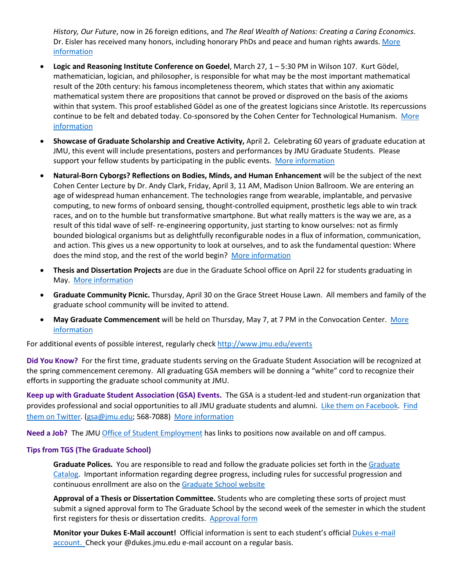*History, Our Future*, now in 26 foreign editions, and *The Real Wealth of Nations: Creating a Caring Economics*. Dr. Eisler has received many honors, including honorary PhDs and peace and human rights awards. [More](http://www.jmu.edu/events/president/2015/03/MVS_Eisler.shtml)  [information](http://www.jmu.edu/events/president/2015/03/MVS_Eisler.shtml)

- **Logic and Reasoning Institute Conference on Goedel**, March 27, 1 5:30 PM in Wilson 107. Kurt Gödel, mathematician, logician, and philosopher, is responsible for what may be the most important mathematical result of the 20th century: his famous incompleteness theorem, which states that within any axiomatic mathematical system there are propositions that cannot be proved or disproved on the basis of the axioms within that system. This proof established Gödel as one of the greatest logicians since Aristotle. Its repercussions continue to be felt and debated today. Co-sponsored by the Cohen Center for Technological Humanism. More [information](http://www.jmu.edu/events/philrel/2015/03/03-09-2015_lriconference.shtml)
- **Showcase of Graduate Scholarship and Creative Activity,** April 2**.** Celebrating 60 years of graduate education at JMU, this event will include presentations, posters and performances by JMU Graduate Students. Please support your fellow students by participating in the public events. [More information](http://www.jmu.edu/grad/Graduate-Symposium.shtml)
- **Natural-Born Cyborgs? Reflections on Bodies, Minds, and Human Enhancement** will be the subject of the next Cohen Center Lecture by Dr. Andy Clark, Friday, April 3, 11 AM, Madison Union Ballroom. We are entering an age of widespread human enhancement. The technologies range from wearable, implantable, and pervasive computing, to new forms of onboard sensing, thought-controlled equipment, prosthetic legs able to win track races, and on to the humble but transformative smartphone. But what really matters is the way we are, as a result of this tidal wave of self- re-engineering opportunity, just starting to know ourselves: not as firmly bounded biological organisms but as delightfully reconfigurable nodes in a flux of information, communication, and action. This gives us a new opportunity to look at ourselves, and to ask the fundamental question: Where does the mind stop, and the rest of the world begin? [More information](http://www.jmu.edu/events/cohencenter/2015/04/03-andy-clark-lecture-april-3-madison-union-ballroom.shtml)
- **Thesis and Dissertation Projects** are due in the Graduate School office on April 22 for students graduating in May. [More information](http://www.jmu.edu/grad/current-students/thesis-dissertation/information.shtml)
- **Graduate Community Picnic.** Thursday, April 30 on the Grace Street House Lawn. All members and family of the graduate school community will be invited to attend.
- **May Graduate Commencement** will be held on Thursday, May 7, at 7 PM in the Convocation Center. [More](http://www.jmu.edu/commencement/)  [information](http://www.jmu.edu/commencement/)

For additional events of possible interest, regularly check<http://www.jmu.edu/events>

**Did You Know?** For the first time, graduate students serving on the Graduate Student Association will be recognized at the spring commencement ceremony. All graduating GSA members will be donning a "white" cord to recognize their efforts in supporting the graduate school community at JMU.

**Keep up with Graduate Student Association (GSA) Events.** The GSA is a student-led and student-run organization that provides professional and social opportunities to all JMU graduate students and alumni. [Like them on Facebook.](https://www.facebook.com/JMUGSA?fref=ts) Find [them on Twitter.](https://twitter.com/JMUGSA) [\(gsa@jmu.edu;](mailto:gsa@jmu.edu) 568-7088) [More information](http://www.jmu.edu/grad/gsa/index.shtml)

**Need a Job?** The JM[U Office of Student Employment](http://www.jmu.edu/stuemploy/) has links to positions now available on and off campus.

#### **Tips from TGS (The Graduate School)**

**Graduate Polices.** You are responsible to read and follow the graduate policies set forth in th[e Graduate](http://jmu.edu/catalog)  [Catalog.](http://jmu.edu/catalog) Important information regarding degree progress, including rules for successful progression and continuous enrollment are also on th[e Graduate School website](http://www.jmu.edu/grad/current-students/degree-progress/beginning.shtml)

**Approval of a Thesis or Dissertation Committee.** Students who are completing these sorts of project must submit a signed approval form to The Graduate School by the second week of the semester in which the student first registers for thesis or dissertation credits. [Approval form](http://www.jmu.edu/grad/_files/CommitteeApprovalForm2014-15.pdf)

**Monitor your Dukes E-Mail account!** Official information is sent to each student's officia[l Dukes e-mail](http://www.jmu.edu/computing/helpdesk/selfhelp/DukesEmail.shtml)  [account.](http://www.jmu.edu/computing/helpdesk/selfhelp/DukesEmail.shtml) Check your @dukes.jmu.edu e-mail account on a regular basis.